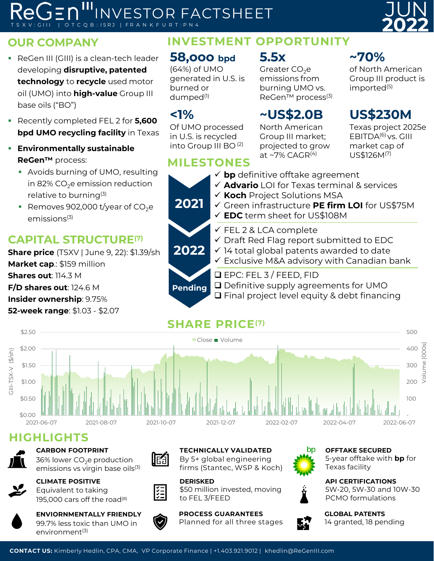# **ReGen III:** INVESTOR FACTSHEET O T C Q B : ISRJ | FR A N K F U R T : P N 4

#### **OUR COMPANY**

- **ReGen III (GIII) is a clean-tech leader** developing **disruptive, patented technology** to **recycle** used motor oil (UMO) into **high-value** Group III base oils ("BO")
- Recently completed FEL 2 for **5,600 bpd UMO recycling facility** in Texas
- **Environmentally sustainable ReGen™** process:
	- Avoids burning of UMO, resulting in 82%  $CO<sub>2</sub>e$  emission reduction relative to burning(3)
	- Removes 902,000 t/year of  $CO<sub>2</sub>e$  $emissions<sup>(3)</sup>$

# **CAPITAL STRUCTURE(7)**

**Share price** (TSXV | June 9, 22): \$1.39/sh **Market cap**.: \$159 million **Shares out**: 114.3 M **F/D shares out**: 124.6 M **Insider ownership**: 9.75% **52-week range**: \$1.03 - \$2.07

# **INVESTMENT OPPORTUNITY**

## **58,ooo bpd**

(64%) of UMO generated in U.S. is burned or dumped(1)

### **<1%**

Of UMO processed in U.S. is recycled into Group III BO (2)

## **MILESTONES**

**5.5x**

Greater  $CO<sub>2</sub>$ e emissions from burning UMO vs. ReGen<sup>™</sup> process<sup>(3)</sup>

North American Group III market; projected to grow at ~7% CAGR $^{(4)}$ 

## **~70%**

of North American Group III product is imported<sup>(5)</sup>

JUN

**2022**

#### **~US\$2.0B US\$230M**

Texas project 2025e EBITDA(6) vs. GIII market cap of US\$126M(7)

 **bp** definitive offtake agreement **Advario** LOI for Texas terminal & services **Koch** Project Solutions MSA Green infrastructure **PE firm LOI** for US\$75M **EDC** term sheet for US\$108M  $\checkmark$  FEL 2 & LCA complete  $\checkmark$  Draft Red Flag report submitted to EDC  $\checkmark$  14 total global patents awarded to date  $\checkmark$  Exclusive M&A advisory with Canadian bank  $\Box$  EPC: FEL 3 / FEED, FID □ Definitive supply agreements for UMO **2022 2021 Pending**

 $\Box$  Final project level equity & debt financing



### **HIGHLIGHTS**



#### **CARBON FOOTPRINT**



36% lower  $CO<sub>2</sub>e$  production emissions vs virgin base oils<sup>(3)</sup>



195,000 cars off the road<sup>(8)</sup>



**ENVIORNMENTALLY FRIENDLY** 99.7% less toxic than UMO in environment<sup>(3)</sup>



 $\left| \begin{smallmatrix} \zeta = \zeta \\ \zeta = \zeta \end{smallmatrix} \right|$ 

**TECHNICALLY VALIDATED** By 5+ global engineering firms (Stantec, WSP & Koch)

**DERISKED** \$50 million invested, moving to FEL 3/FEED

**PROCESS GUARANTEES**  Planned for all three stages



**OFFTAKE SECURED** 5-year offtake with **bp** for Texas facility

**API CERTIFICATIONS** 5W-20, 5W-30 and 10W-30 PCMO formulations



**GLOBAL PATENTS** 14 granted, 18 pending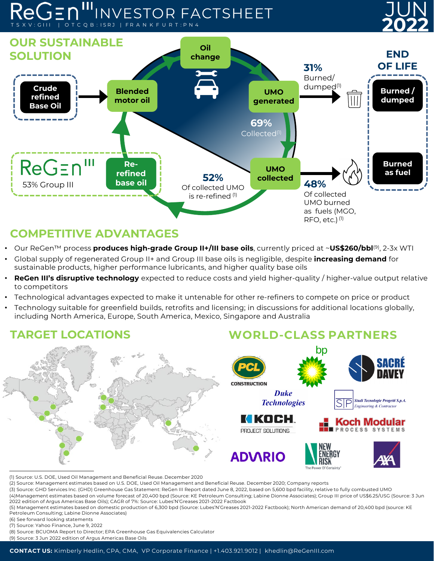# **<sup>2022</sup> ReGen III:** INVESTOR FACTSHEET O T C Q B : ISRJ | FR A N K F U R T





## **COMPETITIVE ADVANTAGES**

- Our ReGen™ process **produces high-grade Group II+/III base oils**, currently priced at ~**US\$260/bbl**(9), 2-3x WTI
- Global supply of regenerated Group II+ and Group III base oils is negligible, despite **increasing demand** for sustainable products, higher performance lubricants, and higher quality base oils
- **ReGen III's disruptive technology** expected to reduce costs and yield higher-quality / higher-value output relative to competitors
- Technological advantages expected to make it untenable for other re-refiners to compete on price or product
- Technology suitable for greenfield builds, retrofits and licensing; in discussions for additional locations globally, including North America, Europe, South America, Mexico, Singapore and Australia

### **TARGET LOCATIONS**

#### **WORLD-CLASS PARTNERS**



(1) Source: U.S. DOE, Used Oil Management and Beneficial Reuse. December 2020

(2) Source: Management estimates based on U.S. DOE, Used Oil Management and Beneficial Reuse. December 2020; Company reports

(3) Source: GHD Services Inc. (GHD) Greenhouse Gas Statement: ReGen III Report dated June 8, 2022, based on 5,600 bpd facility, relative to fully combusted UMO (4)Management estimates based on volume forecast of 20,400 bpd (Source: KE Petroleum Consulting; Labine Dionne Associates); Group III price of US\$6.25/USG (Source: 3 Jun 2022 edition of Argus Americas Base Oils); CAGR of 7%: Source: Lubes'N'Greases 2021-2022 Factbook

- (5) Management estimates based on domestic production of 6,300 bpd (Source: Lubes'N'Greases 2021-2022 Factbook); North American demand of 20,400 bpd (source: KE Petroleum Consulting; Labine Dionne Associates)
- (6) See forward looking statements
- (7) Source: Yahoo Finance, June 9, 2022
- (8) Source: BCUOMA Report to Director; EPA Greenhouse Gas Equivalencies Calculator
- (9) Source: 3 Jun 2022 edition of Argus Americas Base Oils